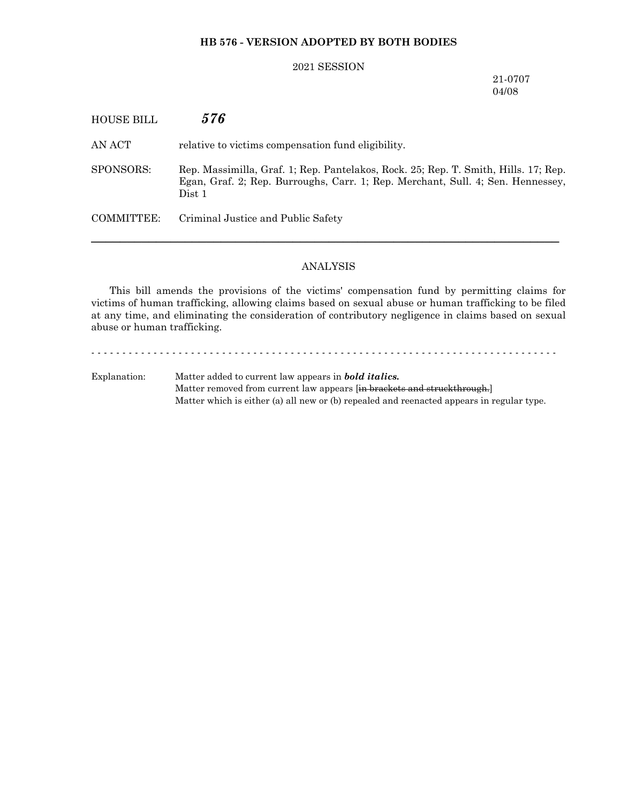# **HB 576 - VERSION ADOPTED BY BOTH BODIES**

## 2021 SESSION

21-0707 04/08

| HOUSE BILL | 576                                                                                                                                                                              |
|------------|----------------------------------------------------------------------------------------------------------------------------------------------------------------------------------|
| AN ACT     | relative to victims compensation fund eligibility.                                                                                                                               |
| SPONSORS:  | Rep. Massimilla, Graf. 1; Rep. Pantelakos, Rock. 25; Rep. T. Smith, Hills. 17; Rep.<br>Egan, Graf. 2; Rep. Burroughs, Carr. 1; Rep. Merchant, Sull. 4; Sen. Hennessey,<br>Dist 1 |
| COMMITTEE: | Criminal Justice and Public Safety                                                                                                                                               |

### ANALYSIS

─────────────────────────────────────────────────────────────────

This bill amends the provisions of the victims' compensation fund by permitting claims for victims of human trafficking, allowing claims based on sexual abuse or human trafficking to be filed at any time, and eliminating the consideration of contributory negligence in claims based on sexual abuse or human trafficking.

- - - - - - - - - - - - - - - - - - - - - - - - - - - - - - - - - - - - - - - - - - - - - - - - - - - - - - - - - - - - - - - - - - - - - - - - - - - Explanation: Matter added to current law appears in *bold italics.* Matter removed from current law appears [in brackets and struckthrough.] Matter which is either (a) all new or (b) repealed and reenacted appears in regular type.